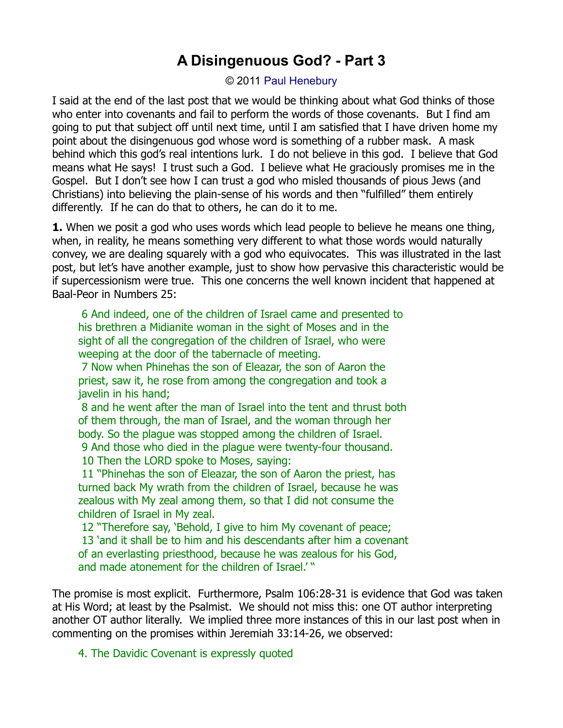## **A Disingenuous God? - Part 3**

© 2011 [Paul Henebury](http://www.spiritandtruth.org/id/ph.htm)

I said at the end of the last post that we would be thinking about what God thinks of those who enter into covenants and fail to perform the words of those covenants. But I find am going to put that subject off until next time, until I am satisfied that I have driven home my point about the disingenuous god whose word is something of a rubber mask. A mask behind which this god's real intentions lurk. I do not believe in this god. I believe that God means what He says! I trust such a God. I believe what He graciously promises me in the Gospel. But I don't see how I can trust a god who misled thousands of pious Jews (and Christians) into believing the plain-sense of his words and then "fulfilled" them entirely differently. If he can do that to others, he can do it to me.

**1.** When we posit a god who uses words which lead people to believe he means one thing, when, in reality, he means something very different to what those words would naturally convey, we are dealing squarely with a god who equivocates. This was illustrated in the last post, but let's have another example, just to show how pervasive this characteristic would be if supercessionism were true. This one concerns the well known incident that happened at Baal-Peor in Numbers 25:

6 And indeed, one of the children of Israel came and presented to his brethren a Midianite woman in the sight of Moses and in the sight of all the congregation of the children of Israel, who were weeping at the door of the tabernacle of meeting.

7 Now when Phinehas the son of Eleazar, the son of Aaron the priest, saw it, he rose from among the congregation and took a javelin in his hand;

8 and he went after the man of Israel into the tent and thrust both of them through, the man of Israel, and the woman through her body. So the plague was stopped among the children of Israel. 9 And those who died in the plague were twenty-four thousand.

10 Then the LORD spoke to Moses, saying:

11 "Phinehas the son of Eleazar, the son of Aaron the priest, has turned back My wrath from the children of Israel, because he was zealous with My zeal among them, so that I did not consume the children of Israel in My zeal.

12 "Therefore say, 'Behold, I give to him My covenant of peace; 13 'and it shall be to him and his descendants after him a covenant of an everlasting priesthood, because he was zealous for his God, and made atonement for the children of Israel.' "

The promise is most explicit. Furthermore, Psalm 106:28-31 is evidence that God was taken at His Word; at least by the Psalmist. We should not miss this: one OT author interpreting another OT author literally. We implied three more instances of this in our last post when in commenting on the promises within Jeremiah 33:14-26, we observed:

4. The Davidic Covenant is expressly quoted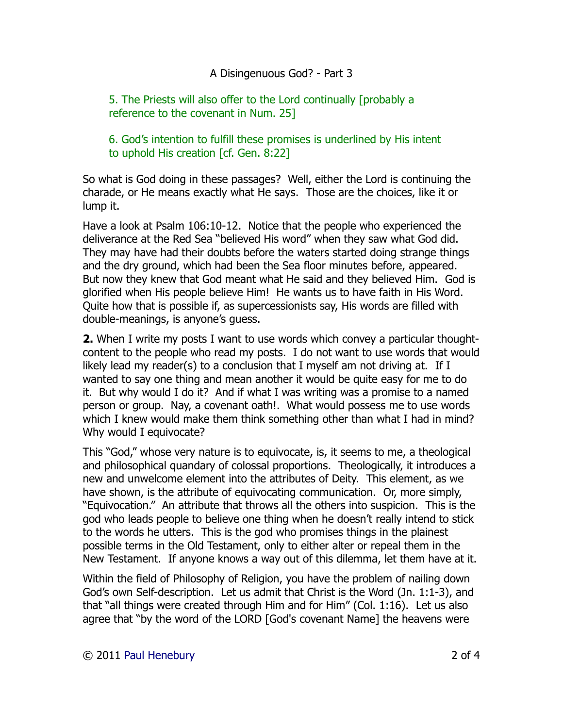## A Disingenuous God? - Part 3

5. The Priests will also offer to the Lord continually [probably a reference to the covenant in Num. 25]

6. God's intention to fulfill these promises is underlined by His intent to uphold His creation [cf. Gen. 8:22]

So what is God doing in these passages? Well, either the Lord is continuing the charade, or He means exactly what He says. Those are the choices, like it or lump it.

Have a look at Psalm 106:10-12. Notice that the people who experienced the deliverance at the Red Sea "believed His word" when they saw what God did. They may have had their doubts before the waters started doing strange things and the dry ground, which had been the Sea floor minutes before, appeared. But now they knew that God meant what He said and they believed Him. God is glorified when His people believe Him! He wants us to have faith in His Word. Quite how that is possible if, as supercessionists say, His words are filled with double-meanings, is anyone's guess.

**2.** When I write my posts I want to use words which convey a particular thoughtcontent to the people who read my posts. I do not want to use words that would likely lead my reader(s) to a conclusion that I myself am not driving at. If I wanted to say one thing and mean another it would be quite easy for me to do it. But why would I do it? And if what I was writing was a promise to a named person or group. Nay, a covenant oath!. What would possess me to use words which I knew would make them think something other than what I had in mind? Why would I equivocate?

This "God," whose very nature is to equivocate, is, it seems to me, a theological and philosophical quandary of colossal proportions. Theologically, it introduces a new and unwelcome element into the attributes of Deity. This element, as we have shown, is the attribute of equivocating communication. Or, more simply, "Equivocation." An attribute that throws all the others into suspicion. This is the god who leads people to believe one thing when he doesn't really intend to stick to the words he utters. This is the god who promises things in the plainest possible terms in the Old Testament, only to either alter or repeal them in the New Testament. If anyone knows a way out of this dilemma, let them have at it.

Within the field of Philosophy of Religion, you have the problem of nailing down God's own Self-description. Let us admit that Christ is the Word (Jn. 1:1-3), and that "all things were created through Him and for Him" (Col. 1:16). Let us also agree that "by the word of the LORD [God's covenant Name] the heavens were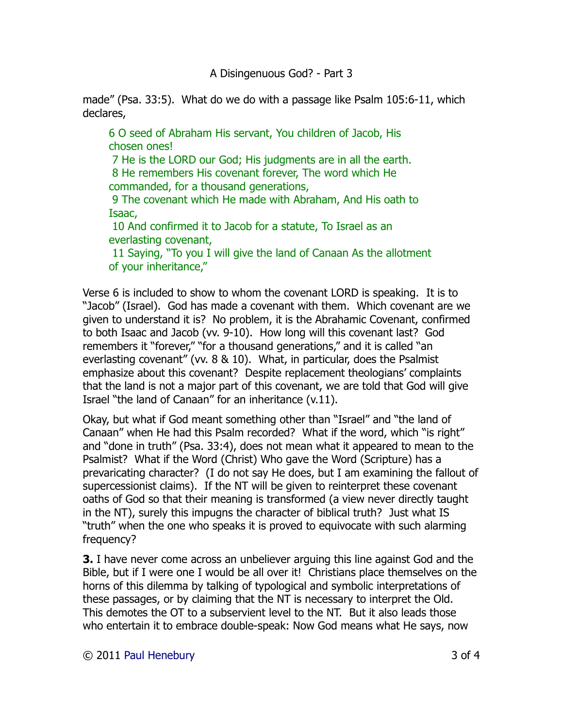made" (Psa. 33:5). What do we do with a passage like Psalm 105:6-11, which declares,

6 O seed of Abraham His servant, You children of Jacob, His chosen ones!

7 He is the LORD our God; His judgments are in all the earth. 8 He remembers His covenant forever, The word which He

commanded, for a thousand generations,

9 The covenant which He made with Abraham, And His oath to Isaac,

10 And confirmed it to Jacob for a statute, To Israel as an everlasting covenant,

11 Saying, "To you I will give the land of Canaan As the allotment of your inheritance,"

Verse 6 is included to show to whom the covenant LORD is speaking. It is to "Jacob" (Israel). God has made a covenant with them. Which covenant are we given to understand it is? No problem, it is the Abrahamic Covenant, confirmed to both Isaac and Jacob (vv. 9-10). How long will this covenant last? God remembers it "forever," "for a thousand generations," and it is called "an everlasting covenant" (vv. 8 & 10). What, in particular, does the Psalmist emphasize about this covenant? Despite replacement theologians' complaints that the land is not a major part of this covenant, we are told that God will give Israel "the land of Canaan" for an inheritance (v.11).

Okay, but what if God meant something other than "Israel" and "the land of Canaan" when He had this Psalm recorded? What if the word, which "is right" and "done in truth" (Psa. 33:4), does not mean what it appeared to mean to the Psalmist? What if the Word (Christ) Who gave the Word (Scripture) has a prevaricating character? (I do not say He does, but I am examining the fallout of supercessionist claims). If the NT will be given to reinterpret these covenant oaths of God so that their meaning is transformed (a view never directly taught in the NT), surely this impugns the character of biblical truth? Just what IS "truth" when the one who speaks it is proved to equivocate with such alarming frequency?

**3.** I have never come across an unbeliever arguing this line against God and the Bible, but if I were one I would be all over it! Christians place themselves on the horns of this dilemma by talking of typological and symbolic interpretations of these passages, or by claiming that the NT is necessary to interpret the Old. This demotes the OT to a subservient level to the NT. But it also leads those who entertain it to embrace double-speak: Now God means what He says, now